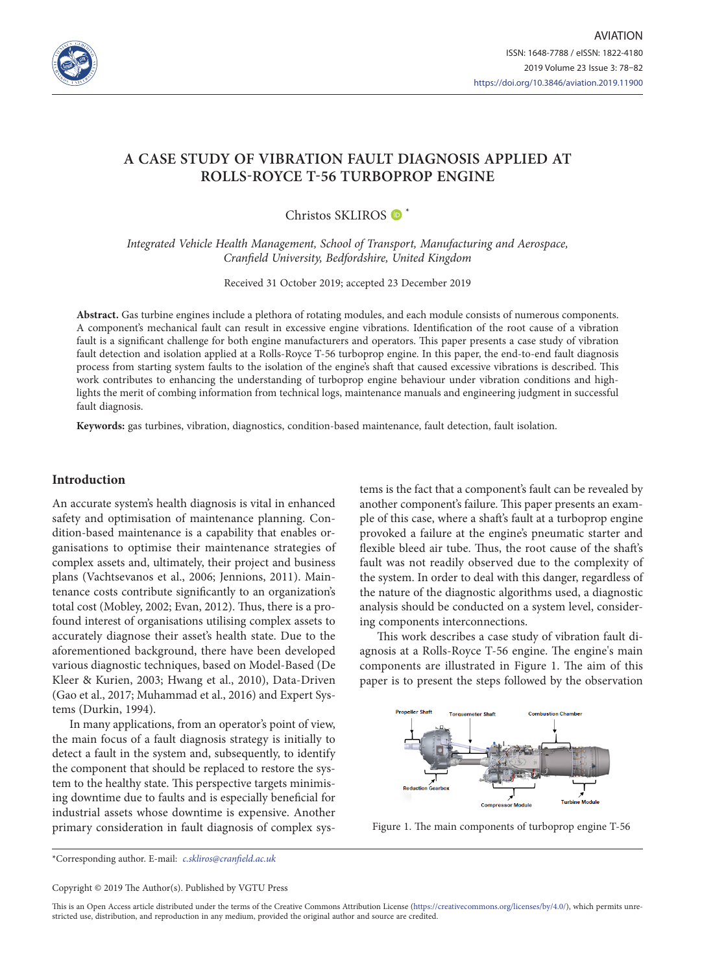

# **A CASE STUDY OF VIBRATION FAULT DIAGNOSIS APPLIED AT ROLLS-ROYCE T-56 TURBOPROP ENGINE**

# Christos SKLIROS  $\bullet$ <sup>\*</sup>

*Integrated Vehicle Health Management, School of Transport, Manufacturing and Aerospace, Cranfield University, Bedfordshire, United Kingdom*

Received 31 October 2019; accepted 23 December 2019

**Abstract.** Gas turbine engines include a plethora of rotating modules, and each module consists of numerous components. A component's mechanical fault can result in excessive engine vibrations. Identification of the root cause of a vibration fault is a significant challenge for both engine manufacturers and operators. This paper presents a case study of vibration fault detection and isolation applied at a Rolls-Royce T-56 turboprop engine. In this paper, the end-to-end fault diagnosis process from starting system faults to the isolation of the engine's shaft that caused excessive vibrations is described. This work contributes to enhancing the understanding of turboprop engine behaviour under vibration conditions and highlights the merit of combing information from technical logs, maintenance manuals and engineering judgment in successful fault diagnosis.

**Keywords:** gas turbines, vibration, diagnostics, condition-based maintenance, fault detection, fault isolation.

# **Introduction**

An accurate system's health diagnosis is vital in enhanced safety and optimisation of maintenance planning. Condition-based maintenance is a capability that enables organisations to optimise their maintenance strategies of complex assets and, ultimately, their project and business plans (Vachtsevanos et al., 2006; Jennions, 2011). Maintenance costs contribute significantly to an organization's total cost (Mobley, 2002; Evan, 2012). Thus, there is a profound interest of organisations utilising complex assets to accurately diagnose their asset's health state. Due to the aforementioned background, there have been developed various diagnostic techniques, based on Model-Based (De Kleer & Kurien, 2003; Hwang et al., 2010), Data-Driven (Gao et al., 2017; Muhammad et al., 2016) and Expert Systems (Durkin, 1994).

In many applications, from an operator's point of view, the main focus of a fault diagnosis strategy is initially to detect a fault in the system and, subsequently, to identify the component that should be replaced to restore the system to the healthy state. This perspective targets minimising downtime due to faults and is especially beneficial for industrial assets whose downtime is expensive. Another primary consideration in fault diagnosis of complex systems is the fact that a component's fault can be revealed by another component's failure. This paper presents an example of this case, where a shaft's fault at a turboprop engine provoked a failure at the engine's pneumatic starter and flexible bleed air tube. Thus, the root cause of the shaft's fault was not readily observed due to the complexity of the system. In order to deal with this danger, regardless of the nature of the diagnostic algorithms used, a diagnostic analysis should be conducted on a system level, considering components interconnections.

This work describes a case study of vibration fault diagnosis at a Rolls-Royce T-56 engine. The engine's main components are illustrated in Figure 1. The aim of this paper is to present the steps followed by the observation



Figure 1. The main components of turboprop engine T-56

\*Corresponding author. E-mail: *c.skliros@cranfield.ac.uk*

Copyright © 2019 The Author(s). Published by VGTU Press

This is an Open Access article distributed under the terms of the Creative Commons Attribution License [\(https://creativecommons.org/licenses/by/4.0/\)](http://creativecommons.org/licenses/by/4.0/), which permits unrestricted use, distribution, and reproduction in any medium, provided the original author and source are credited.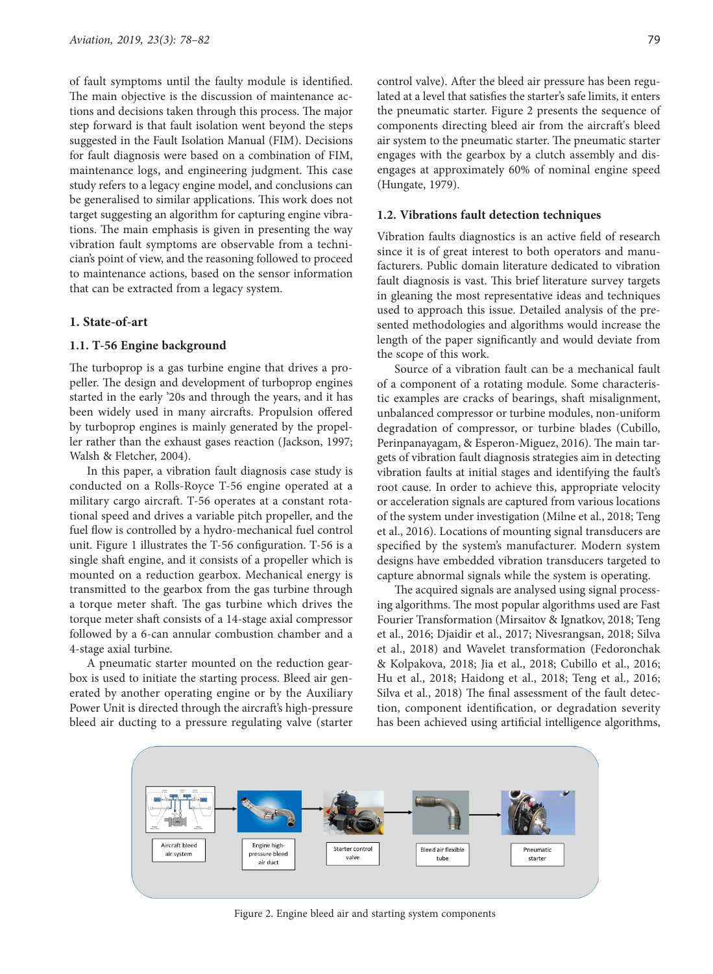of fault symptoms until the faulty module is identified. The main objective is the discussion of maintenance actions and decisions taken through this process. The major step forward is that fault isolation went beyond the steps suggested in the Fault Isolation Manual (FIM). Decisions for fault diagnosis were based on a combination of FIM, maintenance logs, and engineering judgment. This case study refers to a legacy engine model, and conclusions can be generalised to similar applications. This work does not target suggesting an algorithm for capturing engine vibrations. The main emphasis is given in presenting the way vibration fault symptoms are observable from a technician's point of view, and the reasoning followed to proceed to maintenance actions, based on the sensor information that can be extracted from a legacy system.

#### **1. State-of-art**

#### **1.1. T-56 Engine background**

The turboprop is a gas turbine engine that drives a propeller. The design and development of turboprop engines started in the early '20s and through the years, and it has been widely used in many aircrafts. Propulsion offered by turboprop engines is mainly generated by the propeller rather than the exhaust gases reaction (Jackson, 1997; Walsh & Fletcher, 2004).

In this paper, a vibration fault diagnosis case study is conducted on a Rolls-Royce T-56 engine operated at a military cargo aircraft. T-56 operates at a constant rotational speed and drives a variable pitch propeller, and the fuel flow is controlled by a hydro-mechanical fuel control unit. Figure 1 illustrates the T-56 configuration. T-56 is a single shaft engine, and it consists of a propeller which is mounted on a reduction gearbox. Mechanical energy is transmitted to the gearbox from the gas turbine through a torque meter shaft. The gas turbine which drives the torque meter shaft consists of a 14-stage axial compressor followed by a 6-can annular combustion chamber and a 4-stage axial turbine.

A pneumatic starter mounted on the reduction gearbox is used to initiate the starting process. Bleed air generated by another operating engine or by the Auxiliary Power Unit is directed through the aircraft's high-pressure bleed air ducting to a pressure regulating valve (starter

control valve). After the bleed air pressure has been regulated at a level that satisfies the starter's safe limits, it enters the pneumatic starter. Figure 2 presents the sequence of components directing bleed air from the aircraft's bleed air system to the pneumatic starter. The pneumatic starter engages with the gearbox by a clutch assembly and disengages at approximately 60% of nominal engine speed (Hungate, 1979).

#### **1.2. Vibrations fault detection techniques**

Vibration faults diagnostics is an active field of research since it is of great interest to both operators and manufacturers. Public domain literature dedicated to vibration fault diagnosis is vast. This brief literature survey targets in gleaning the most representative ideas and techniques used to approach this issue. Detailed analysis of the presented methodologies and algorithms would increase the length of the paper significantly and would deviate from the scope of this work.

Source of a vibration fault can be a mechanical fault of a component of a rotating module. Some characteristic examples are cracks of bearings, shaft misalignment, unbalanced compressor or turbine modules, non-uniform degradation of compressor, or turbine blades (Cubillo, Perinpanayagam, & Esperon-Miguez, 2016). The main targets of vibration fault diagnosis strategies aim in detecting vibration faults at initial stages and identifying the fault's root cause. In order to achieve this, appropriate velocity or acceleration signals are captured from various locations of the system under investigation (Milne et al., 2018; Teng et al., 2016). Locations of mounting signal transducers are specified by the system's manufacturer. Modern system designs have embedded vibration transducers targeted to capture abnormal signals while the system is operating.

The acquired signals are analysed using signal processing algorithms. The most popular algorithms used are Fast Fourier Transformation (Mirsaitov & Ignatkov, 2018; Teng et al., 2016; Djaidir et al., 2017; Nivesrangsan, 2018; Silva et al., 2018) and Wavelet transformation (Fedoronchak & Kolpakova, 2018; Jia et al., 2018; Cubillo et al., 2016; Hu et al., 2018; Haidong et al., 2018; Teng et al., 2016; Silva et al., 2018) The final assessment of the fault detection, component identification, or degradation severity has been achieved using artificial intelligence algorithms,



Figure 2. Engine bleed air and starting system components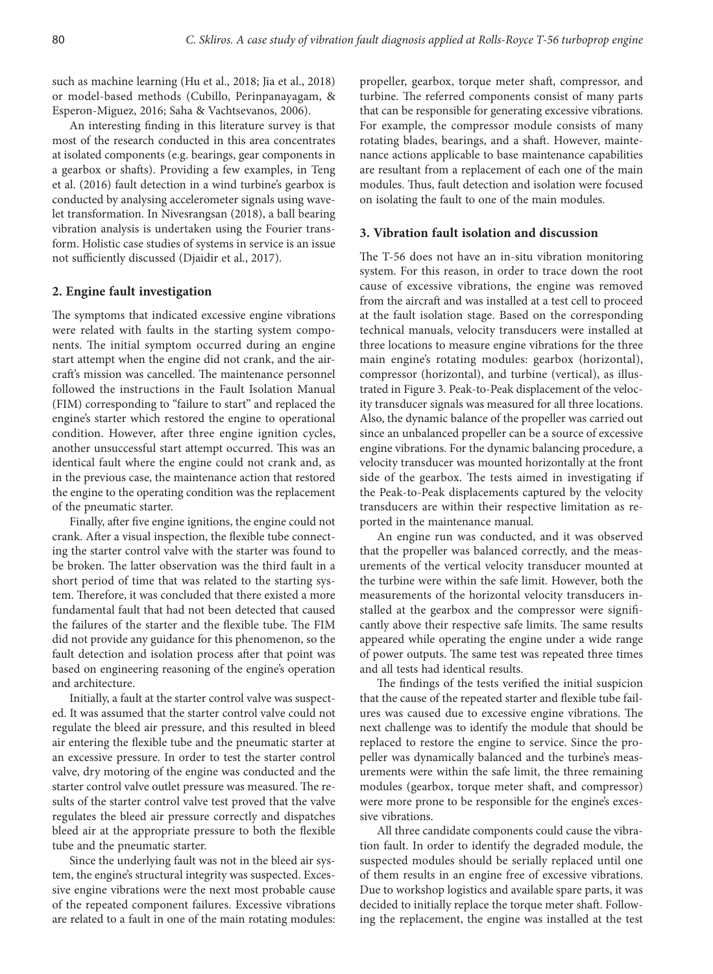such as machine learning (Hu et al., 2018; Jia et al., 2018) or model-based methods (Cubillo, Perinpanayagam, & Esperon-Miguez, 2016; Saha & Vachtsevanos, 2006).

An interesting finding in this literature survey is that most of the research conducted in this area concentrates at isolated components (e.g. bearings, gear components in a gearbox or shafts). Providing a few examples, in Teng et al. (2016) fault detection in a wind turbine's gearbox is conducted by analysing accelerometer signals using wavelet transformation. In Nivesrangsan (2018), a ball bearing vibration analysis is undertaken using the Fourier transform. Holistic case studies of systems in service is an issue not sufficiently discussed (Djaidir et al., 2017).

#### **2. Engine fault investigation**

The symptoms that indicated excessive engine vibrations were related with faults in the starting system components. The initial symptom occurred during an engine start attempt when the engine did not crank, and the aircraft's mission was cancelled. The maintenance personnel followed the instructions in the Fault Isolation Manual (FIM) corresponding to "failure to start" and replaced the engine's starter which restored the engine to operational condition. However, after three engine ignition cycles, another unsuccessful start attempt occurred. This was an identical fault where the engine could not crank and, as in the previous case, the maintenance action that restored the engine to the operating condition was the replacement of the pneumatic starter.

Finally, after five engine ignitions, the engine could not crank. After a visual inspection, the flexible tube connecting the starter control valve with the starter was found to be broken. The latter observation was the third fault in a short period of time that was related to the starting system. Therefore, it was concluded that there existed a more fundamental fault that had not been detected that caused the failures of the starter and the flexible tube. The FIM did not provide any guidance for this phenomenon, so the fault detection and isolation process after that point was based on engineering reasoning of the engine's operation and architecture.

Initially, a fault at the starter control valve was suspected. It was assumed that the starter control valve could not regulate the bleed air pressure, and this resulted in bleed air entering the flexible tube and the pneumatic starter at an excessive pressure. In order to test the starter control valve, dry motoring of the engine was conducted and the starter control valve outlet pressure was measured. The results of the starter control valve test proved that the valve regulates the bleed air pressure correctly and dispatches bleed air at the appropriate pressure to both the flexible tube and the pneumatic starter.

Since the underlying fault was not in the bleed air system, the engine's structural integrity was suspected. Excessive engine vibrations were the next most probable cause of the repeated component failures. Excessive vibrations are related to a fault in one of the main rotating modules: propeller, gearbox, torque meter shaft, compressor, and turbine. The referred components consist of many parts that can be responsible for generating excessive vibrations. For example, the compressor module consists of many rotating blades, bearings, and a shaft. However, maintenance actions applicable to base maintenance capabilities are resultant from a replacement of each one of the main modules. Thus, fault detection and isolation were focused on isolating the fault to one of the main modules.

#### **3. Vibration fault isolation and discussion**

The T-56 does not have an in-situ vibration monitoring system. For this reason, in order to trace down the root cause of excessive vibrations, the engine was removed from the aircraft and was installed at a test cell to proceed at the fault isolation stage. Based on the corresponding technical manuals, velocity transducers were installed at three locations to measure engine vibrations for the three main engine's rotating modules: gearbox (horizontal), compressor (horizontal), and turbine (vertical), as illustrated in Figure 3. Peak-to-Peak displacement of the velocity transducer signals was measured for all three locations. Also, the dynamic balance of the propeller was carried out since an unbalanced propeller can be a source of excessive engine vibrations. For the dynamic balancing procedure, a velocity transducer was mounted horizontally at the front side of the gearbox. The tests aimed in investigating if the Peak-to-Peak displacements captured by the velocity transducers are within their respective limitation as reported in the maintenance manual.

An engine run was conducted, and it was observed that the propeller was balanced correctly, and the measurements of the vertical velocity transducer mounted at the turbine were within the safe limit. However, both the measurements of the horizontal velocity transducers installed at the gearbox and the compressor were significantly above their respective safe limits. The same results appeared while operating the engine under a wide range of power outputs. The same test was repeated three times and all tests had identical results.

The findings of the tests verified the initial suspicion that the cause of the repeated starter and flexible tube failures was caused due to excessive engine vibrations. The next challenge was to identify the module that should be replaced to restore the engine to service. Since the propeller was dynamically balanced and the turbine's measurements were within the safe limit, the three remaining modules (gearbox, torque meter shaft, and compressor) were more prone to be responsible for the engine's excessive vibrations.

All three candidate components could cause the vibration fault. In order to identify the degraded module, the suspected modules should be serially replaced until one of them results in an engine free of excessive vibrations. Due to workshop logistics and available spare parts, it was decided to initially replace the torque meter shaft. Following the replacement, the engine was installed at the test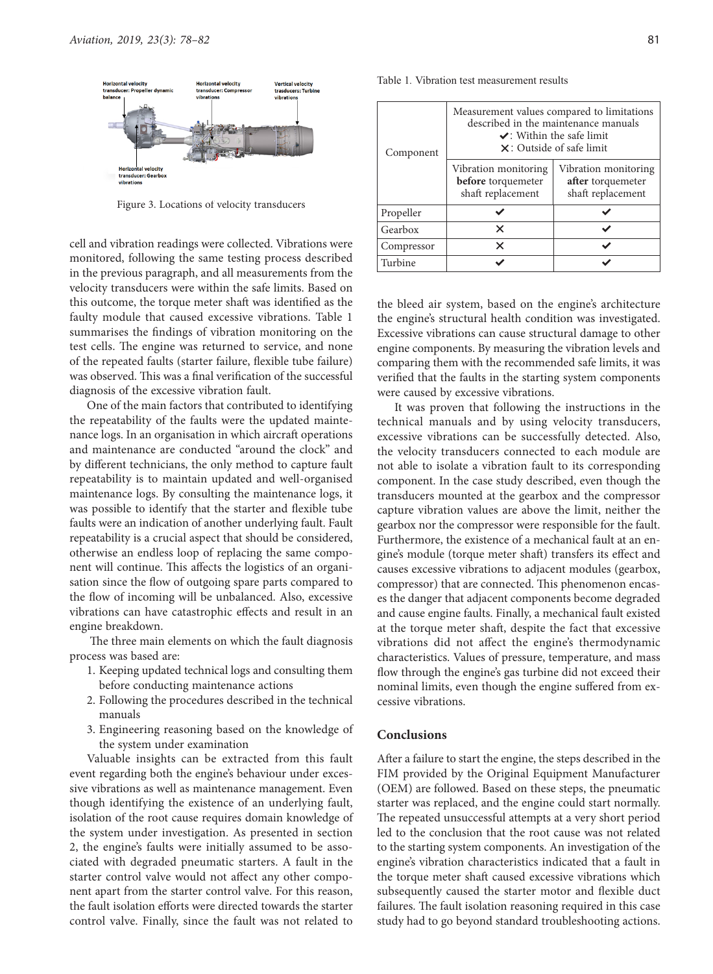

Figure 3. Locations of velocity transducers

cell and vibration readings were collected. Vibrations were monitored, following the same testing process described in the previous paragraph, and all measurements from the velocity transducers were within the safe limits. Based on this outcome, the torque meter shaft was identified as the faulty module that caused excessive vibrations. Table 1 summarises the findings of vibration monitoring on the test cells. The engine was returned to service, and none of the repeated faults (starter failure, flexible tube failure) was observed. This was a final verification of the successful diagnosis of the excessive vibration fault.

One of the main factors that contributed to identifying the repeatability of the faults were the updated maintenance logs. In an organisation in which aircraft operations and maintenance are conducted "around the clock" and by different technicians, the only method to capture fault repeatability is to maintain updated and well-organised maintenance logs. By consulting the maintenance logs, it was possible to identify that the starter and flexible tube faults were an indication of another underlying fault. Fault repeatability is a crucial aspect that should be considered, otherwise an endless loop of replacing the same component will continue. This affects the logistics of an organisation since the flow of outgoing spare parts compared to the flow of incoming will be unbalanced. Also, excessive vibrations can have catastrophic effects and result in an engine breakdown.

 The three main elements on which the fault diagnosis process was based are:

- 1. Keeping updated technical logs and consulting them before conducting maintenance actions
- 2. Following the procedures described in the technical manuals
- 3. Engineering reasoning based on the knowledge of the system under examination

Valuable insights can be extracted from this fault event regarding both the engine's behaviour under excessive vibrations as well as maintenance management. Even though identifying the existence of an underlying fault, isolation of the root cause requires domain knowledge of the system under investigation. As presented in section 2, the engine's faults were initially assumed to be associated with degraded pneumatic starters. A fault in the starter control valve would not affect any other component apart from the starter control valve. For this reason, the fault isolation efforts were directed towards the starter control valve. Finally, since the fault was not related to

| Component | Measurement values compared to limitations<br>described in the maintenance manuals<br>$\vee$ : Within the safe limit<br>$\times$ : Outside of safe limit |                                           |
|-----------|----------------------------------------------------------------------------------------------------------------------------------------------------------|-------------------------------------------|
|           | Vibration monitoring<br>before torquemeter                                                                                                               | Vibration monitoring<br>after torquemeter |
|           | shaft replacement                                                                                                                                        | shaft replacement                         |

Propeller  $\checkmark$   $\checkmark$ Gearbox  $\times$   $\times$ Compressor **×** ★ ★ Turbine  $\vee$   $\vee$ 

Table 1*.* Vibration test measurement results

the bleed air system, based on the engine's architecture the engine's structural health condition was investigated. Excessive vibrations can cause structural damage to other engine components. By measuring the vibration levels and comparing them with the recommended safe limits, it was verified that the faults in the starting system components were caused by excessive vibrations.

It was proven that following the instructions in the technical manuals and by using velocity transducers, excessive vibrations can be successfully detected. Also, the velocity transducers connected to each module are not able to isolate a vibration fault to its corresponding component. In the case study described, even though the transducers mounted at the gearbox and the compressor capture vibration values are above the limit, neither the gearbox nor the compressor were responsible for the fault. Furthermore, the existence of a mechanical fault at an engine's module (torque meter shaft) transfers its effect and causes excessive vibrations to adjacent modules (gearbox, compressor) that are connected. This phenomenon encases the danger that adjacent components become degraded and cause engine faults. Finally, a mechanical fault existed at the torque meter shaft, despite the fact that excessive vibrations did not affect the engine's thermodynamic characteristics. Values of pressure, temperature, and mass flow through the engine's gas turbine did not exceed their nominal limits, even though the engine suffered from excessive vibrations.

# **Conclusions**

After a failure to start the engine, the steps described in the FIM provided by the Original Equipment Manufacturer (OEM) are followed. Based on these steps, the pneumatic starter was replaced, and the engine could start normally. The repeated unsuccessful attempts at a very short period led to the conclusion that the root cause was not related to the starting system components. An investigation of the engine's vibration characteristics indicated that a fault in the torque meter shaft caused excessive vibrations which subsequently caused the starter motor and flexible duct failures. The fault isolation reasoning required in this case study had to go beyond standard troubleshooting actions.